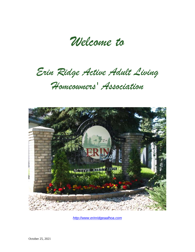*Welcome to*

*Erin Ridge Active Adult Living* 

# *Homeowners' Association*



*[http://www.erinridgeaalhoa.com](http://www.erinridgeaalhoa.com/)*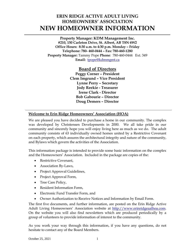# **ERIN RIDGE ACTIVE ADULT LIVING HOMEOWNERS' ASSOCIATION NEW HOMEOWNER INFORMATION**

**Property Manager: KDM Management Inc. #210, 150 Carleton Drive, St. Albert, AB T8N 6W2 Office Hours: 8:30 a.m. to 4:30 p.m. Monday – Friday Telephone: 780- 460-0444 – Fax: 780-460-1280 Property Manager:** Tammy Pope **Phone**: 780-460-0444 Ext. 349 **Email:** tpope@kdmmgmt.ca

**Board of Directors**

**Peggy Corner – President Clem Imgrund – Vice President Lynne Perry – Secretary Jody Reekie - Treasurer Irene Clark - Director Bob Gabourie – Director Doug Demers – Director**

## **Welcome to Erin Ridge Homeowners' Association (HOA)**

We are pleased you have decided to purchase a home in our community. The complex was developed by Christensen Developments in 2000. We all take pride in our community and sincerely hope you will enjoy living here as much as we do. The adult community consists of 63 individually owned homes united by a [Restrictive Covenant](http://www.erinridgeaalhoa.com/association-documents.html)  on each property, which assures the architectural integrity and nature of the community, and [Bylaws](http://www.erinridgeaalhoa.com/association-documents.html) which govern the activities of the Association.

This information package is intended to provide some basic information on the complex and the Homeowners' Association. Included in the package are copies of the:

- Restrictive Covenant,
- Association By-Laws,
- Project Approval Guidelines,
- Project Approval Form,
- Tree Care Policy,
- Resident Information Form,
- Electronic Fund Transfer Form, and
- Owner Authorization to Receive Notices and Information by Email Form.

The first five documents, and further information, are posted on the Erin Ridge Active Adult Living Homeowners' Association website at [http://www.erinridgeaalhoa.com.](http://www.erinridgeaalhoa.com/) On the website you will also find newsletters which are produced periodically by a group of volunteers to provide information of interest to the community.

As you work your way through this information, if you have any questions, do not hesitate to contact any of the Board Members.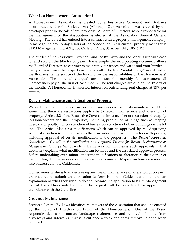## **What Is a Homeowners' Association?**

A Homeowners' Association is created by a Restrictive Covenant and By-Laws incorporated under the Societies Act (Alberta). Our Association was created by the developer prior to the sale of any property. A Board of Directors, who is responsible for the management of the Association, is elected at the Association Annual General Meeting. The Board has entered into a contract with a property management company to manage the day to day affairs of the Association. Our current property manager is KDM Management Inc. #210, 150 Carleton Drive, St. Albert, AB, T8N 6W2.

The burden of the Restrictive Covenant, and the By-Laws, and the benefits run with each lot and stay on the title for 80 years. For example, the incorporating document allows the Board of Directors to contract to maintain your fences and yards and your burden is that you must leave the property as it was built. The term "rental charge" as defined in the By-Laws, is the source of the funding for the responsibilities of the Homeowners' Association. These "rental charges" are in fact the monthly fee assessment all Homeowners pay at the first of each month. The rent charges are due on the 1<sup>st</sup> day of the month. A Homeowner is assessed interest on outstanding rent charges at 15% per annum.

## **Repair, Maintenance and Alteration of Property**

We each own our home and property and are responsible for its maintenance. At the same time, there are restrictions applicable to repair, maintenance and alteration of property. Article 2.2 of the Restrictive Covenant cites a number of restrictions that apply to Homeowners and their properties, including prohibition of things such as keeping livestock or poultry, or construction of fences, construction of other buildings on the lot etc. The Article also cites modifications which can be approved by the Approving Authority. Section 4.3 of the By-Laws then provides the Board of Directors with powers, including approval of certain modification to the properties. The *Project Approval Guidelines* - *Guidelines for Application and Approval Process for Repair, Maintenance or Modification to Properties* provide a framework for managing such approvals. That document explains what modification can be made and the associated approval process. Before undertaking even minor landscape modifications or alteration to the exterior of the building, Homeowners should review the document. Major maintenance issues are also addressed in the Guidelines.

Homeowners wishing to undertake repairs, major maintenance or alteration of property are required to submit an application (a form is in the Guidelines) along with an explanation of what they wish to do and forward the application to KDM Management Inc. at the address noted above. The request will be considered for approval in accordance with the Guidelines.

## **Grounds Maintenance**

Section 4.2 of the By-Laws identifies the powers of the Association that shall be enacted by the Board of Directors on behalf of the Homeowners. One of the Board responsibilities is to contract landscape maintenance and removal of snow from driveways and sidewalks. Grass is cut once a week and snow removal is done when required.